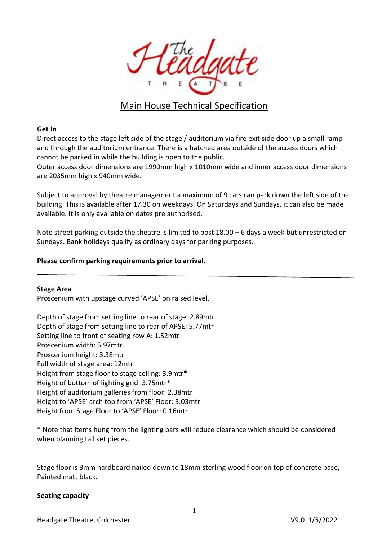

# Main House Technical Specification

#### **Get In**

Direct access to the stage left side of the stage / auditorium via fire exit side door up a small ramp and through the auditorium entrance. There is a hatched area outside of the access doors which cannot be parked in while the building is open to the public.

Outer access door dimensions are 1990mm high x 1010mm wide and inner access door dimensions are 2035mm high x 940mm wide.

Subject to approval by theatre management a maximum of 9 cars can park down the left side of the building. This is available after 17.30 on weekdays. On Saturdays and Sundays, it can also be made available. It is only available on dates pre authorised.

Note street parking outside the theatre is limited to post 18.00 – 6 days a week but unrestricted on Sundays. Bank holidays qualify as ordinary days for parking purposes.

#### **Please confirm parking requirements prior to arrival.**

**Stage Area** Proscenium with upstage curved 'APSE' on raised level.

Depth of stage from setting line to rear of stage: 2.89mtr Depth of stage from setting line to rear of APSE: 5.77mtr Setting line to front of seating row A: 1.52mtr Proscenium width: 5.97mtr Proscenium height: 3.38mtr Full width of stage area: 12mtr Height from stage floor to stage ceiling: 3.9mtr\* Height of bottom of lighting grid: 3.75mtr\* Height of auditorium galleries from floor: 2.38mtr Height to 'APSE' arch top from 'APSE' Floor: 3.03mtr Height from Stage Floor to 'APSE' Floor: 0.16mtr

\* Note that items hung from the lighting bars will reduce clearance which should be considered when planning tall set pieces.

Stage floor is 3mm hardboard nailed down to 18mm sterling wood floor on top of concrete base, Painted matt black.

#### **Seating capacity**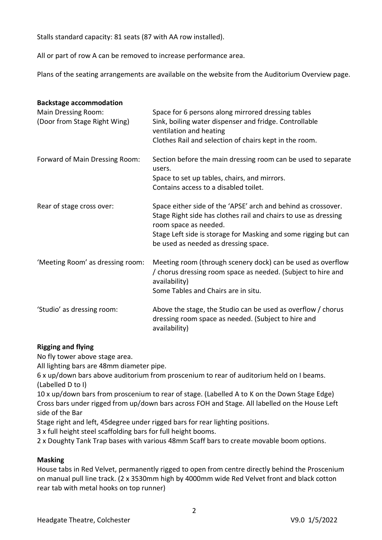Stalls standard capacity: 81 seats (87 with AA row installed).

All or part of row A can be removed to increase performance area.

Plans of the seating arrangements are available on the website from the Auditorium Overview page.

| <b>Backstage accommodation</b>                             |                                                                                                                                                                                                                                                                      |
|------------------------------------------------------------|----------------------------------------------------------------------------------------------------------------------------------------------------------------------------------------------------------------------------------------------------------------------|
| <b>Main Dressing Room:</b><br>(Door from Stage Right Wing) | Space for 6 persons along mirrored dressing tables<br>Sink, boiling water dispenser and fridge. Controllable<br>ventilation and heating<br>Clothes Rail and selection of chairs kept in the room.                                                                    |
| Forward of Main Dressing Room:                             | Section before the main dressing room can be used to separate<br>users.<br>Space to set up tables, chairs, and mirrors.<br>Contains access to a disabled toilet.                                                                                                     |
| Rear of stage cross over:                                  | Space either side of the 'APSE' arch and behind as crossover.<br>Stage Right side has clothes rail and chairs to use as dressing<br>room space as needed.<br>Stage Left side is storage for Masking and some rigging but can<br>be used as needed as dressing space. |
| 'Meeting Room' as dressing room:                           | Meeting room (through scenery dock) can be used as overflow<br>/ chorus dressing room space as needed. (Subject to hire and<br>availability)<br>Some Tables and Chairs are in situ.                                                                                  |
| 'Studio' as dressing room:                                 | Above the stage, the Studio can be used as overflow / chorus<br>dressing room space as needed. (Subject to hire and<br>availability)                                                                                                                                 |

# **Rigging and flying**

No fly tower above stage area.

All lighting bars are 48mm diameter pipe.

6 x up/down bars above auditorium from proscenium to rear of auditorium held on I beams. (Labelled D to I)

10 x up/down bars from proscenium to rear of stage. (Labelled A to K on the Down Stage Edge) Cross bars under rigged from up/down bars across FOH and Stage. All labelled on the House Left side of the Bar

Stage right and left, 45degree under rigged bars for rear lighting positions.

3 x full height steel scaffolding bars for full height booms.

2 x Doughty Tank Trap bases with various 48mm Scaff bars to create movable boom options.

# **Masking**

House tabs in Red Velvet, permanently rigged to open from centre directly behind the Proscenium on manual pull line track. (2 x 3530mm high by 4000mm wide Red Velvet front and black cotton rear tab with metal hooks on top runner)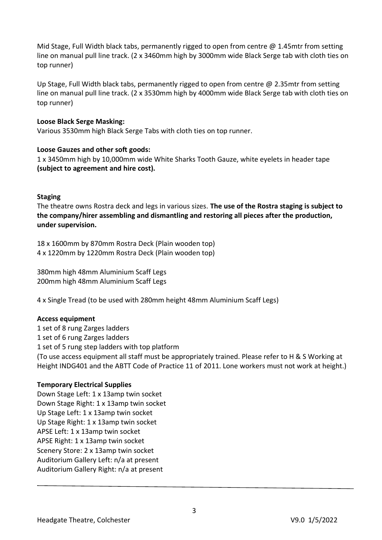Mid Stage, Full Width black tabs, permanently rigged to open from centre  $\omega$  1.45mtr from setting line on manual pull line track. (2 x 3460mm high by 3000mm wide Black Serge tab with cloth ties on top runner)

Up Stage, Full Width black tabs, permanently rigged to open from centre  $\omega$  2.35mtr from setting line on manual pull line track. (2 x 3530mm high by 4000mm wide Black Serge tab with cloth ties on top runner)

#### **Loose Black Serge Masking:**

Various 3530mm high Black Serge Tabs with cloth ties on top runner.

## **Loose Gauzes and other soft goods:**

1 x 3450mm high by 10,000mm wide White Sharks Tooth Gauze, white eyelets in header tape **(subject to agreement and hire cost).**

## **Staging**

The theatre owns Rostra deck and legs in various sizes. **The use of the Rostra staging is subject to the company/hirer assembling and dismantling and restoring all pieces after the production, under supervision.**

18 x 1600mm by 870mm Rostra Deck (Plain wooden top) 4 x 1220mm by 1220mm Rostra Deck (Plain wooden top)

380mm high 48mm Aluminium Scaff Legs 200mm high 48mm Aluminium Scaff Legs

4 x Single Tread (to be used with 280mm height 48mm Aluminium Scaff Legs)

#### **Access equipment**

1 set of 8 rung Zarges ladders 1 set of 6 rung Zarges ladders 1 set of 5 rung step ladders with top platform (To use access equipment all staff must be appropriately trained. Please refer to H & S Working at Height INDG401 and the ABTT Code of Practice 11 of 2011. Lone workers must not work at height.)

#### **Temporary Electrical Supplies**

Down Stage Left: 1 x 13amp twin socket Down Stage Right: 1 x 13amp twin socket Up Stage Left: 1 x 13amp twin socket Up Stage Right: 1 x 13amp twin socket APSE Left: 1 x 13amp twin socket APSE Right: 1 x 13amp twin socket Scenery Store: 2 x 13amp twin socket Auditorium Gallery Left: n/a at present Auditorium Gallery Right: n/a at present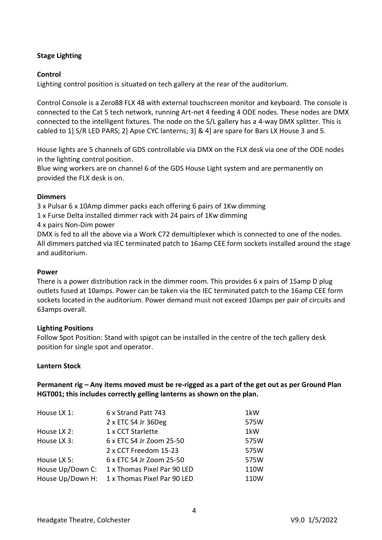# **Stage Lighting**

# **Control**

Lighting control position is situated on tech gallery at the rear of the auditorium.

Control Console is a Zero88 FLX 48 with external touchscreen monitor and keyboard. The console is connected to the Cat 5 tech network, running Art-net 4 feeding 4 ODE nodes. These nodes are DMX connected to the intelligent fixtures. The node on the S/L gallery has a 4-way DMX splitter. This is cabled to 1] S/R LED PARS; 2] Apse CYC lanterns; 3] & 4] are spare for Bars LX House 3 and 5.

House lights are 5 channels of GDS controllable via DMX on the FLX desk via one of the ODE nodes in the lighting control position.

Blue wing workers are on channel 6 of the GDS House Light system and are permanently on provided the FLX desk is on.

#### **Dimmers**

3 x Pulsar 6 x 10Amp dimmer packs each offering 6 pairs of 1Kw dimming

1 x Furse Delta installed dimmer rack with 24 pairs of 1Kw dimming

4 x pairs Non-Dim power

DMX is fed to all the above via a Work C72 demultiplexer which is connected to one of the nodes. All dimmers patched via IEC terminated patch to 16amp CEE form sockets installed around the stage and auditorium.

#### **Power**

There is a power distribution rack in the dimmer room. This provides 6 x pairs of 15amp D plug outlets fused at 10amps. Power can be taken via the IEC terminated patch to the 16amp CEE form sockets located in the auditorium. Power demand must not exceed 10amps per pair of circuits and 63amps overall.

# **Lighting Positions**

Follow Spot Position: Stand with spigot can be installed in the centre of the tech gallery desk position for single spot and operator.

#### **Lantern Stock**

# **Permanent rig – Any items moved must be re-rigged as a part of the get out as per Ground Plan HGT001; this includes correctly gelling lanterns as shown on the plan.**

| House LX 1:      | 6 x Strand Patt 743         | 1kW  |
|------------------|-----------------------------|------|
|                  | 2 x ETC S4 Jr 36Deg         | 575W |
| House LX 2:      | 1 x CCT Starlette           | 1kW  |
| House LX 3:      | 6 x ETC S4 Jr Zoom 25-50    | 575W |
|                  | 2 x CCT Freedom 15-23       | 575W |
| House LX 5:      | 6 x ETC S4 Jr Zoom 25-50    | 575W |
| House Up/Down C: | 1 x Thomas Pixel Par 90 LED | 110W |
| House Up/Down H: | 1 x Thomas Pixel Par 90 LED | 110W |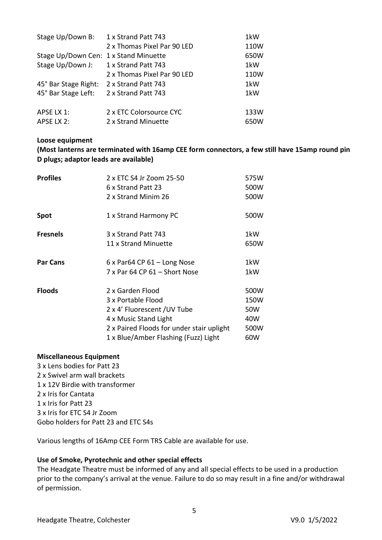| Stage Up/Down B:                      | 1 x Strand Patt 743         | 1kW  |
|---------------------------------------|-----------------------------|------|
|                                       | 2 x Thomas Pixel Par 90 LED | 110W |
| Stage Up/Down Cen: 1 x Stand Minuette |                             | 650W |
| Stage Up/Down J:                      | 1 x Strand Patt 743         | 1kW  |
|                                       | 2 x Thomas Pixel Par 90 LED | 110W |
| 45° Bar Stage Right:                  | 2 x Strand Patt 743         | 1kW  |
| 45° Bar Stage Left:                   | 2 x Strand Patt 743         | 1kW  |
| APSE LX 1:                            | 2 x ETC Colorsource CYC     | 133W |
| APSE LX 2:                            | 2 x Strand Minuette         | 650W |

#### **Loose equipment**

**(Most lanterns are terminated with 16amp CEE form connectors, a few still have 15amp round pin D plugs; adaptor leads are available)**

| <b>Profiles</b> | 2 x ETC S4 Jr Zoom 25-50                  | 575W |
|-----------------|-------------------------------------------|------|
|                 | 6 x Strand Patt 23                        | 500W |
|                 | 2 x Strand Minim 26                       | 500W |
| <b>Spot</b>     | 1 x Strand Harmony PC                     | 500W |
| <b>Fresnels</b> | 3 x Strand Patt 743                       | 1kW  |
|                 | 11 x Strand Minuette                      | 650W |
| <b>Par Cans</b> | $6x$ Par64 CP $61 -$ Long Nose            | 1kW  |
|                 | 7 x Par 64 CP 61 - Short Nose             | 1kW  |
| <b>Floods</b>   | 2 x Garden Flood                          | 500W |
|                 | 3 x Portable Flood                        | 150W |
|                 | 2 x 4' Fluorescent / UV Tube              | 50W  |
|                 | 4 x Music Stand Light                     | 40W  |
|                 | 2 x Paired Floods for under stair uplight | 500W |
|                 | 1 x Blue/Amber Flashing (Fuzz) Light      | 60W  |

#### **Miscellaneous Equipment**

3 x Lens bodies for Patt 23 2 x Swivel arm wall brackets 1 x 12V Birdie with transformer 2 x Iris for Cantata 1 x Iris for Patt 23 3 x Iris for ETC S4 Jr Zoom Gobo holders for Patt 23 and ETC S4s

Various lengths of 16Amp CEE Form TRS Cable are available for use.

#### **Use of Smoke, Pyrotechnic and other special effects**

The Headgate Theatre must be informed of any and all special effects to be used in a production prior to the company's arrival at the venue. Failure to do so may result in a fine and/or withdrawal of permission.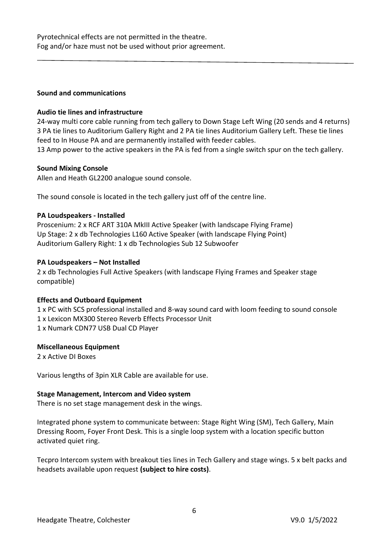Pyrotechnical effects are not permitted in the theatre. Fog and/or haze must not be used without prior agreement.

#### **Sound and communications**

## **Audio tie lines and infrastructure**

24-way multi core cable running from tech gallery to Down Stage Left Wing (20 sends and 4 returns) 3 PA tie lines to Auditorium Gallery Right and 2 PA tie lines Auditorium Gallery Left. These tie lines feed to In House PA and are permanently installed with feeder cables. 13 Amp power to the active speakers in the PA is fed from a single switch spur on the tech gallery.

## **Sound Mixing Console**

Allen and Heath GL2200 analogue sound console.

The sound console is located in the tech gallery just off of the centre line.

## **PA Loudspeakers - Installed**

Proscenium: 2 x RCF ART 310A MkIII Active Speaker (with landscape Flying Frame) Up Stage: 2 x db Technologies L160 Active Speaker (with landscape Flying Point) Auditorium Gallery Right: 1 x db Technologies Sub 12 Subwoofer

## **PA Loudspeakers – Not Installed**

2 x db Technologies Full Active Speakers (with landscape Flying Frames and Speaker stage compatible)

# **Effects and Outboard Equipment**

1 x PC with SCS professional installed and 8-way sound card with loom feeding to sound console 1 x Lexicon MX300 Stereo Reverb Effects Processor Unit 1 x Numark CDN77 USB Dual CD Player

#### **Miscellaneous Equipment**

2 x Active DI Boxes

Various lengths of 3pin XLR Cable are available for use.

#### **Stage Management, Intercom and Video system**

There is no set stage management desk in the wings.

Integrated phone system to communicate between: Stage Right Wing (SM), Tech Gallery, Main Dressing Room, Foyer Front Desk. This is a single loop system with a location specific button activated quiet ring.

Tecpro Intercom system with breakout ties lines in Tech Gallery and stage wings. 5 x belt packs and headsets available upon request **(subject to hire costs)**.